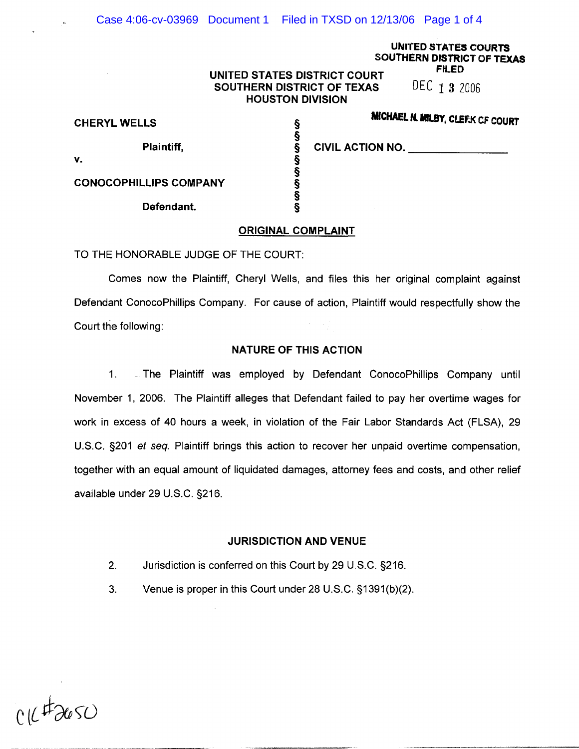# UNITED STATES COURTS SOUTHERN DISTRICT OF TEXAS

# UNITED STATES DISTRICT COURT<br>SOUTHERN DISTRICT OF TEXAS DEC 1 3 2006 SOUTHERN DISTRICT OF TEXAS HOUSTON DIVISION

**MICHAEL N. MILBY, CLEFK CF COURT** 

| <b>CHERYL WELLS</b>           | www.communistration.com |
|-------------------------------|-------------------------|
| Plaintiff,                    | <b>CIVIL ACTION NO.</b> |
| ۷.                            |                         |
| <b>CONOCOPHILLIPS COMPANY</b> |                         |
| Defendant.                    |                         |

 $\bar{z}$ 

| <b>CIVIL ACTION NO.</b> |  |
|-------------------------|--|
|                         |  |

#### ORIGINAL COMPLAINT

TO THE HONORABLE JUDGE OF THE COURT:

Comes now the Plaintiff, Cheryl Wells, and files this her original complaint against Defendant ConocoPhillips Company. For cause of action, Plaintiff would respectfully show the Court the following:

## NATURE OF THIS ACTION

1. .. The Plaintiff was employed by Defendant ConocoPhillips Company until November 1, 2006. The Plaintiff alleges that Defendant failed to pay her overtime wages for work in excess of 40 hours a week, in violation of the Fair Labor Standards Act (FLSA), 29 U.S.C. §201 et seq. Plaintiff brings this action to recover her unpaid overtime compensation, together with an equal amount of liquidated damages, attorney fees and costs, and other relief available under 29 U.S.C. §216.

#### JURISDICTION AND VENUE

- 2. Jurisdiction is conferred on this Court by 29 U.S.C. §216.
- 3. Venue is proper in this Court under 28 U.S.C. §1391 (b)(2).

 $1172650$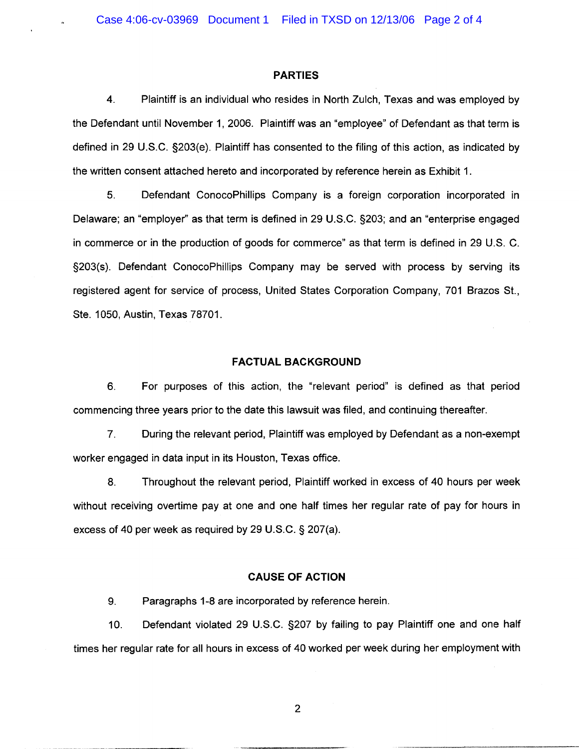#### **PARTIES**

4. Plaintiff is an individual who resides in North Zulch, Texas and was employed by the Defendant until November 1, 2006. Plaintiff was an "employee" of Defendant as that term is defined in 29 U.S.C. §203(e). Plaintiff has consented to the filing of this action, as indicated by the written consent attached hereto and incorporated by reference herein as Exhibit 1.

5. Defendant ConocoPhillips Company is a foreign corporation incorporated in Delaware; an "employer" as that term is defined in 29 U.S.C. §203; and an "enterprise engaged in commerce or in the production of goods for commerce" as that term is defined in 29 U.S. C. §203(s). Defendant ConocoPhillips Company may be served with process by serving its registered agent for service of process, United States Corporation Company, 701 Brazos St., Ste. 1050, Austin, Texas 78701.

## FACTUAL BACKGROUND

6. For purposes of this action, the "relevant period" is defined as that period commencing three years prior to the date this lawsuit was filed, and continuing thereafter.

7. During the relevant period, Plaintiff was employed by Defendant as a non-exempt worker engaged in data input in its Houston, Texas office.

8. Throughout the relevant period, Plaintiff worked in excess of 40 hours per week without receiving overtime pay at one and one half times her regular rate of pay for hours in excess of 40 per week as required by 29 U.S.C. § 207(a).

#### **CAUSE OF ACTION**

9. Paragraphs 1-8 are incorporated by reference herein.

10. Defendant violated 29 U.S.C. §207 by failing to pay Plaintiff one and one half times her regular rate for all hours in excess of 40 worked per week during her employment with

2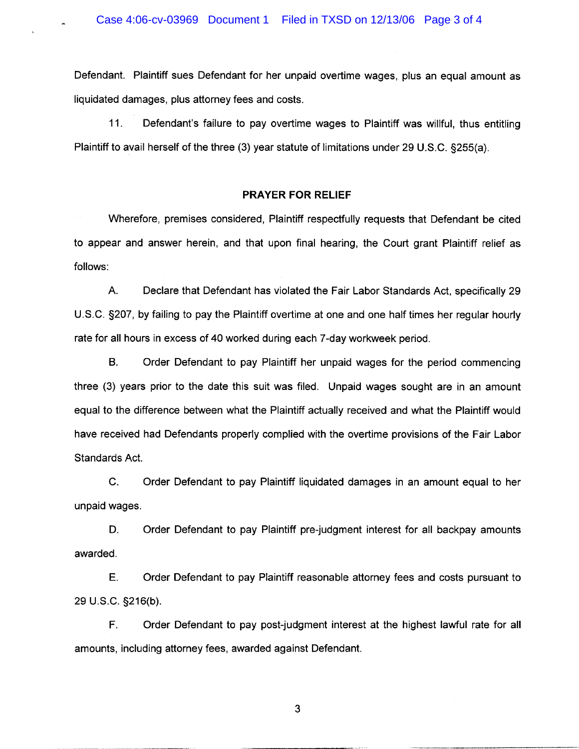Defendant. Plaintiff sues Defendant for her unpaid overtime wages, plus an equal amount as liquidated damages, plus attorney fees and costs.

11. Defendant's failure to pay overtime wages to Plaintiff was willful, thus entitling Plaintiff to avail herself of the three (3) year statute of limitations under 29 U.S.C. §255(a).

#### **PRAYER FOR RELIEF**

Wherefore, premises considered, Plaintiff respectfully requests that Defendant be cited to appear and answer herein, and that upon final hearing, the Court grant Plaintiff relief as follows:

A. Declare that Defendant has violated the Fair Labor Standards Act, specifically 29 U.S.C. §207, by failing to pay the Plaintiff overtime at one and one half times her regular hourly rate for all hours in excess of 40 worked during each 7 -day workweek period.

B. Order Defendant to pay Plaintiff her unpaid wages for the period commencing three (3) years prior to the date this suit was filed. Unpaid wages sought are in an amount equal to the difference between what the Plaintiff actually received and what the Plaintiff would have received had Defendants properly complied with the overtime provisions of the Fair Labor Standards Act.

C. Order Defendant to pay Plaintiff liquidated damages in an amount equal to her unpaid wages.

D. Order Defendant to pay Plaintiff pre-judgment interest for all backpay amounts awarded.

E. Order Defendant to pay Plaintiff reasonable attorney fees and costs pursuant to 29 U.S.C. §216(b).

F. Order Defendant to pay post-judgment interest at the highest lawful rate for all amounts, including attorney fees, awarded against Defendant.

3